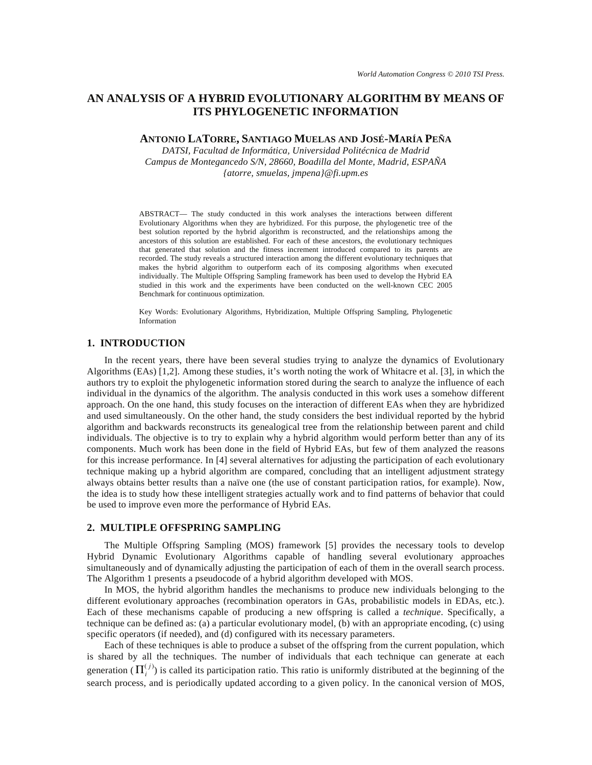# **AN ANALYSIS OF A HYBRID EVOLUTIONARY ALGORITHM BY MEANS OF ITS PHYLOGENETIC INFORMATION**

**ANTONIO LATORRE, SANTIAGO MUELAS AND JOSÉ-MARÍA PEÑA**

*DATSI, Facultad de Informática, Universidad Politécnica de Madrid Campus de Montegancedo S/N, 28660, Boadilla del Monte, Madrid, ESPAÑA {atorre, smuelas, jmpena}@fi.upm.es* 

ABSTRACT— The study conducted in this work analyses the interactions between different Evolutionary Algorithms when they are hybridized. For this purpose, the phylogenetic tree of the best solution reported by the hybrid algorithm is reconstructed, and the relationships among the ancestors of this solution are established. For each of these ancestors, the evolutionary techniques that generated that solution and the fitness increment introduced compared to its parents are recorded. The study reveals a structured interaction among the different evolutionary techniques that makes the hybrid algorithm to outperform each of its composing algorithms when executed individually. The Multiple Offspring Sampling framework has been used to develop the Hybrid EA studied in this work and the experiments have been conducted on the well-known CEC 2005 Benchmark for continuous optimization.

Key Words: Evolutionary Algorithms, Hybridization, Multiple Offspring Sampling, Phylogenetic Information

### **1. INTRODUCTION**

In the recent years, there have been several studies trying to analyze the dynamics of Evolutionary Algorithms (EAs) [1,2]. Among these studies, it's worth noting the work of Whitacre et al. [3], in which the authors try to exploit the phylogenetic information stored during the search to analyze the influence of each individual in the dynamics of the algorithm. The analysis conducted in this work uses a somehow different approach. On the one hand, this study focuses on the interaction of different EAs when they are hybridized and used simultaneously. On the other hand, the study considers the best individual reported by the hybrid algorithm and backwards reconstructs its genealogical tree from the relationship between parent and child individuals. The objective is to try to explain why a hybrid algorithm would perform better than any of its components. Much work has been done in the field of Hybrid EAs, but few of them analyzed the reasons for this increase performance. In [4] several alternatives for adjusting the participation of each evolutionary technique making up a hybrid algorithm are compared, concluding that an intelligent adjustment strategy always obtains better results than a naïve one (the use of constant participation ratios, for example). Now, the idea is to study how these intelligent strategies actually work and to find patterns of behavior that could be used to improve even more the performance of Hybrid EAs.

#### **2. MULTIPLE OFFSPRING SAMPLING**

The Multiple Offspring Sampling (MOS) framework [5] provides the necessary tools to develop Hybrid Dynamic Evolutionary Algorithms capable of handling several evolutionary approaches simultaneously and of dynamically adjusting the participation of each of them in the overall search process. The Algorithm 1 presents a pseudocode of a hybrid algorithm developed with MOS.

In MOS, the hybrid algorithm handles the mechanisms to produce new individuals belonging to the different evolutionary approaches (recombination operators in GAs, probabilistic models in EDAs, etc.). Each of these mechanisms capable of producing a new offspring is called a *technique*. Specifically, a technique can be defined as: (a) a particular evolutionary model, (b) with an appropriate encoding, (c) using specific operators (if needed), and (d) configured with its necessary parameters.

Each of these techniques is able to produce a subset of the offspring from the current population, which is shared by all the techniques. The number of individuals that each technique can generate at each generation  $(\Pi_i^{(j)})$  is called its participation ratio. This ratio is uniformly distributed at the beginning of the search process, and is periodically updated according to a given policy. In the canonical version of MOS,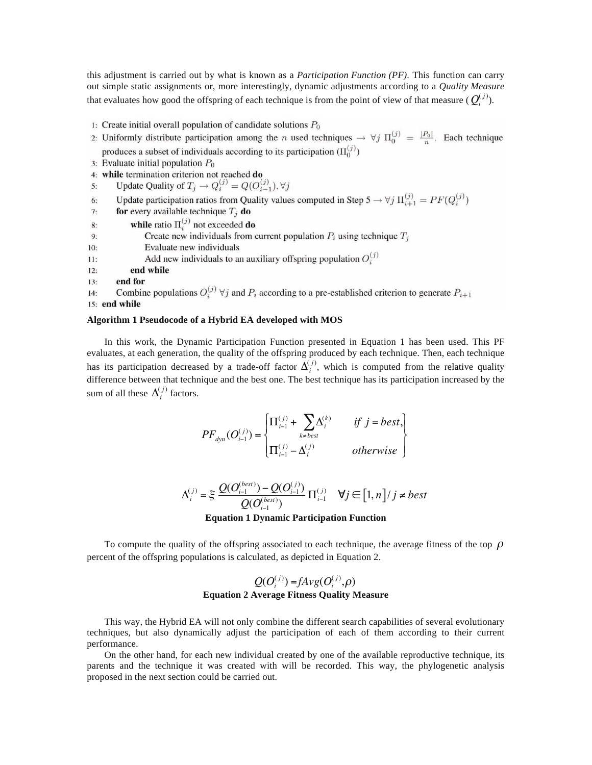this adjustment is carried out by what is known as a *Participation Function (PF)*. This function can carry out simple static assignments or, more interestingly, dynamic adjustments according to a *Quality Measure* that evaluates how good the offspring of each technique is from the point of view of that measure  $(Q_i^{(j)})$ .

- 1: Create initial overall population of candidate solutions  $P_0$
- 2: Uniformly distribute participation among the *n* used techniques  $\rightarrow \forall j \Pi_0^{(j)} = \frac{|P_0|}{n}$ . Each technique produces a subset of individuals according to its participation  $(\Pi_0^{(j)})$
- 3: Evaluate initial population  $P_0$
- 4: while termination criterion not reached do
- Update Quality of  $T_j \rightarrow Q_i^{(j)} = Q(O_{i-1}^{(j)}), \forall j$  $5:$
- Update participation ratios from Quality values computed in Step 5  $\rightarrow \forall j \Pi_{i+1}^{(j)} = PF(Q_i^{(j)})$ 6:
- for every available technique  $T_j$  do  $7:$
- $8:$
- **while** ratio  $\Pi_i^{(j)}$  not exceeded **do**<br>Create new individuals from current population  $P_i$  using technique  $T_j$  $9:$
- Evaluate new individuals  $10<sup>1</sup>$
- Add new individuals to an auxiliary offspring population  $O_i^{(j)}$  $11:$
- $12:$ end while
- end for  $13.$
- Combine populations  $O_i^{(j)}$   $\forall j$  and  $P_i$  according to a pre-established criterion to generate  $P_{i+1}$  $14:$ 15: end while

## **Algorithm 1 Pseudocode of a Hybrid EA developed with MOS**

In this work, the Dynamic Participation Function presented in Equation 1 has been used. This PF evaluates, at each generation, the quality of the offspring produced by each technique. Then, each technique has its participation decreased by a trade-off factor  $\Delta_i^{(j)}$ , which is computed from the relative quality difference between that technique and the best one. The best technique has its participation increased by the sum of all these  $\Delta_i^{(j)}$  factors.

$$
PF_{dyn}(O_{i-1}^{(j)}) = \begin{cases} \Pi_{i-1}^{(j)} + \sum_{k \neq best} \Delta_i^{(k)} & \text{if } j = best, \\ \Pi_{i-1}^{(j)} - \Delta_i^{(j)} & \text{otherwise} \end{cases}
$$

$$
\Delta_i^{(j)} = \xi \frac{Q(O_{i-1}^{(best)}) - Q(O_{i-1}^{(j)})}{Q(O_{i-1}^{(best)})} \Pi_{i-1}^{(j)} \quad \forall j \in [1, n]/j \neq best
$$

**Equation 1 Dynamic Participation Function** 

To compute the quality of the offspring associated to each technique, the average fitness of the top  $\rho$ percent of the offspring populations is calculated, as depicted in Equation 2.

## $Q(O_i^{(j)}) = fAvg(O_i^{(j)}, \rho)$ **Equation 2 Average Fitness Quality Measure**

This way, the Hybrid EA will not only combine the different search capabilities of several evolutionary techniques, but also dynamically adjust the participation of each of them according to their current performance.

On the other hand, for each new individual created by one of the available reproductive technique, its parents and the technique it was created with will be recorded. This way, the phylogenetic analysis proposed in the next section could be carried out.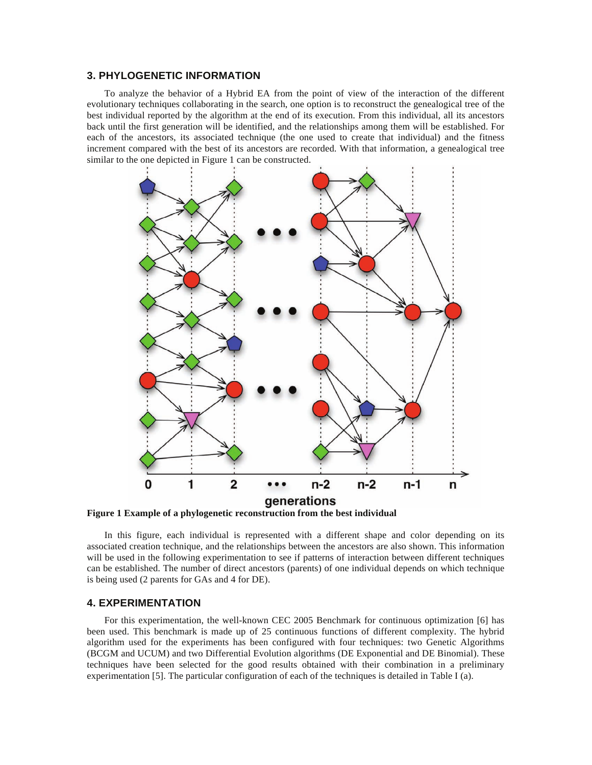### **3. PHYLOGENETIC INFORMATION**

To analyze the behavior of a Hybrid EA from the point of view of the interaction of the different evolutionary techniques collaborating in the search, one option is to reconstruct the genealogical tree of the best individual reported by the algorithm at the end of its execution. From this individual, all its ancestors back until the first generation will be identified, and the relationships among them will be established. For each of the ancestors, its associated technique (the one used to create that individual) and the fitness increment compared with the best of its ancestors are recorded. With that information, a genealogical tree similar to the one depicted in Figure 1 can be constructed.



**Figure 1 Example of a phylogenetic reconstruction from the best individual** 

In this figure, each individual is represented with a different shape and color depending on its associated creation technique, and the relationships between the ancestors are also shown. This information will be used in the following experimentation to see if patterns of interaction between different techniques can be established. The number of direct ancestors (parents) of one individual depends on which technique is being used (2 parents for GAs and 4 for DE).

### **4. EXPERIMENTATION**

For this experimentation, the well-known CEC 2005 Benchmark for continuous optimization [6] has been used. This benchmark is made up of 25 continuous functions of different complexity. The hybrid algorithm used for the experiments has been configured with four techniques: two Genetic Algorithms (BCGM and UCUM) and two Differential Evolution algorithms (DE Exponential and DE Binomial). These techniques have been selected for the good results obtained with their combination in a preliminary experimentation [5]. The particular configuration of each of the techniques is detailed in Table I (a).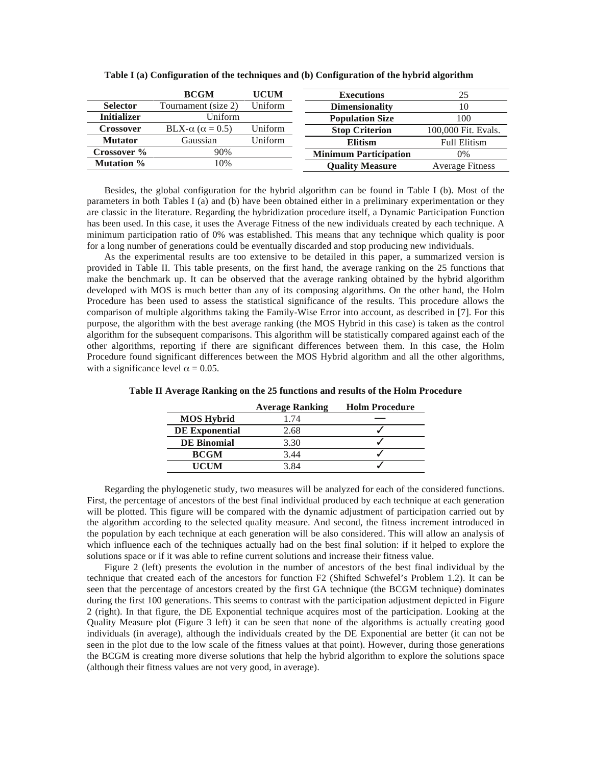|                    | <b>BCGM</b>                     | <b>UCUM</b> | <b>Executions</b>            | 25                     |
|--------------------|---------------------------------|-------------|------------------------------|------------------------|
| <b>Selector</b>    | Tournament (size 2)             | Uniform     | <b>Dimensionality</b>        | 10                     |
| <b>Initializer</b> | Uniform                         |             | <b>Population Size</b>       | 100                    |
| <b>Crossover</b>   | BLX- $\alpha$ ( $\alpha$ = 0.5) | Uniform     | <b>Stop Criterion</b>        | 100,000 Fit. Evals.    |
| <b>Mutator</b>     | Gaussian                        | Uniform     | <b>Elitism</b>               | <b>Full Elitism</b>    |
| Crossover %        | 90%                             |             | <b>Minimum Participation</b> | 0%                     |
| <b>Mutation</b> %  | 10%                             |             | <b>Ouality Measure</b>       | <b>Average Fitness</b> |

**Table I (a) Configuration of the techniques and (b) Configuration of the hybrid algorithm** 

Besides, the global configuration for the hybrid algorithm can be found in Table I (b). Most of the parameters in both Tables I (a) and (b) have been obtained either in a preliminary experimentation or they are classic in the literature. Regarding the hybridization procedure itself, a Dynamic Participation Function has been used. In this case, it uses the Average Fitness of the new individuals created by each technique. A minimum participation ratio of 0% was established. This means that any technique which quality is poor for a long number of generations could be eventually discarded and stop producing new individuals.

As the experimental results are too extensive to be detailed in this paper, a summarized version is provided in Table II. This table presents, on the first hand, the average ranking on the 25 functions that make the benchmark up. It can be observed that the average ranking obtained by the hybrid algorithm developed with MOS is much better than any of its composing algorithms. On the other hand, the Holm Procedure has been used to assess the statistical significance of the results. This procedure allows the comparison of multiple algorithms taking the Family-Wise Error into account, as described in [7]. For this purpose, the algorithm with the best average ranking (the MOS Hybrid in this case) is taken as the control algorithm for the subsequent comparisons. This algorithm will be statistically compared against each of the other algorithms, reporting if there are significant differences between them. In this case, the Holm Procedure found significant differences between the MOS Hybrid algorithm and all the other algorithms, with a significance level  $\alpha = 0.05$ .

|                       | <b>Average Ranking</b> | <b>Holm Procedure</b> |
|-----------------------|------------------------|-----------------------|
| <b>MOS Hybrid</b>     | 1.74                   |                       |
| <b>DE Exponential</b> | 2.68                   |                       |
| <b>DE Binomial</b>    | 3.30                   |                       |
| <b>BCGM</b>           | 3.44                   |                       |
| <b>UCUM</b>           | 3.84                   |                       |

**Table II Average Ranking on the 25 functions and results of the Holm Procedure** 

Regarding the phylogenetic study, two measures will be analyzed for each of the considered functions. First, the percentage of ancestors of the best final individual produced by each technique at each generation will be plotted. This figure will be compared with the dynamic adjustment of participation carried out by the algorithm according to the selected quality measure. And second, the fitness increment introduced in the population by each technique at each generation will be also considered. This will allow an analysis of which influence each of the techniques actually had on the best final solution: if it helped to explore the solutions space or if it was able to refine current solutions and increase their fitness value.

Figure 2 (left) presents the evolution in the number of ancestors of the best final individual by the technique that created each of the ancestors for function F2 (Shifted Schwefel's Problem 1.2). It can be seen that the percentage of ancestors created by the first GA technique (the BCGM technique) dominates during the first 100 generations. This seems to contrast with the participation adjustment depicted in Figure 2 (right). In that figure, the DE Exponential technique acquires most of the participation. Looking at the Quality Measure plot (Figure 3 left) it can be seen that none of the algorithms is actually creating good individuals (in average), although the individuals created by the DE Exponential are better (it can not be seen in the plot due to the low scale of the fitness values at that point). However, during those generations the BCGM is creating more diverse solutions that help the hybrid algorithm to explore the solutions space (although their fitness values are not very good, in average).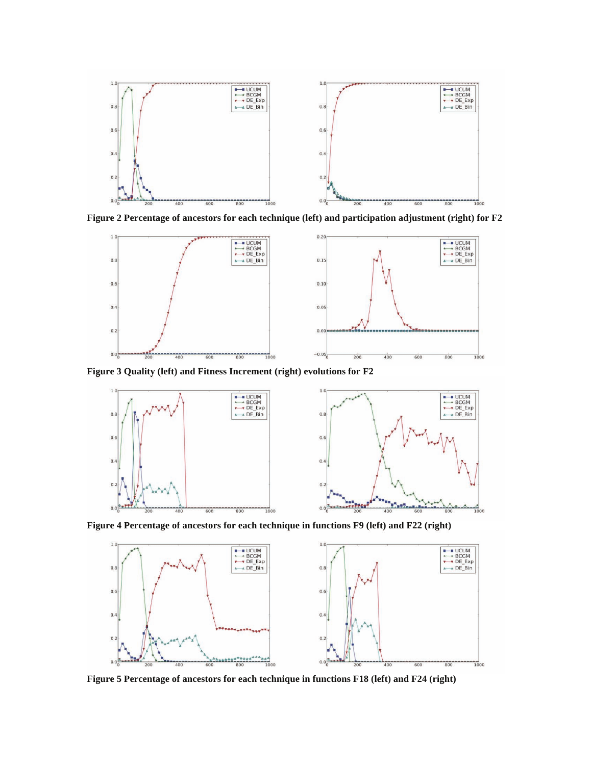

**Figure 2 Percentage of ancestors for each technique (left) and participation adjustment (right) for F2** 



**Figure 3 Quality (left) and Fitness Increment (right) evolutions for F2** 



**Figure 4 Percentage of ancestors for each technique in functions F9 (left) and F22 (right)** 



**Figure 5 Percentage of ancestors for each technique in functions F18 (left) and F24 (right)**